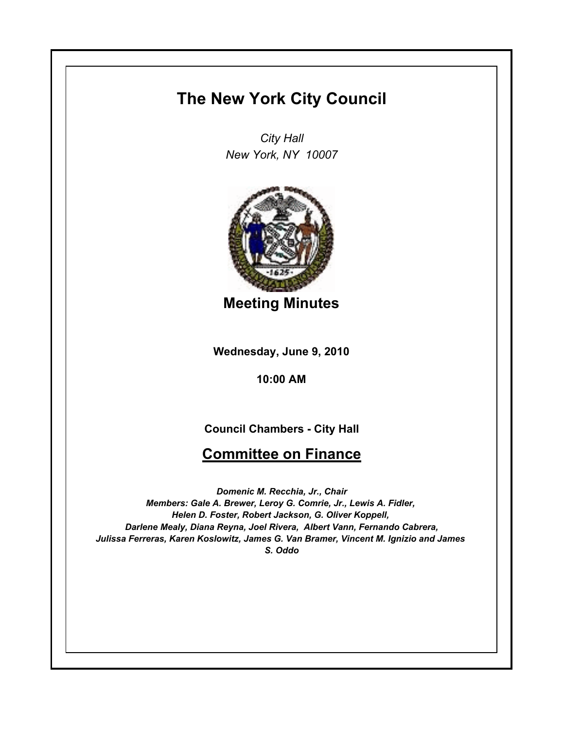## **The New York City Council**

*City Hall New York, NY 10007*



**Meeting Minutes**

**Wednesday, June 9, 2010**

**10:00 AM**

## **Council Chambers - City Hall**

## **Committee on Finance**

*Domenic M. Recchia, Jr., Chair Members: Gale A. Brewer, Leroy G. Comrie, Jr., Lewis A. Fidler, Helen D. Foster, Robert Jackson, G. Oliver Koppell, Darlene Mealy, Diana Reyna, Joel Rivera, Albert Vann, Fernando Cabrera, Julissa Ferreras, Karen Koslowitz, James G. Van Bramer, Vincent M. Ignizio and James S. Oddo*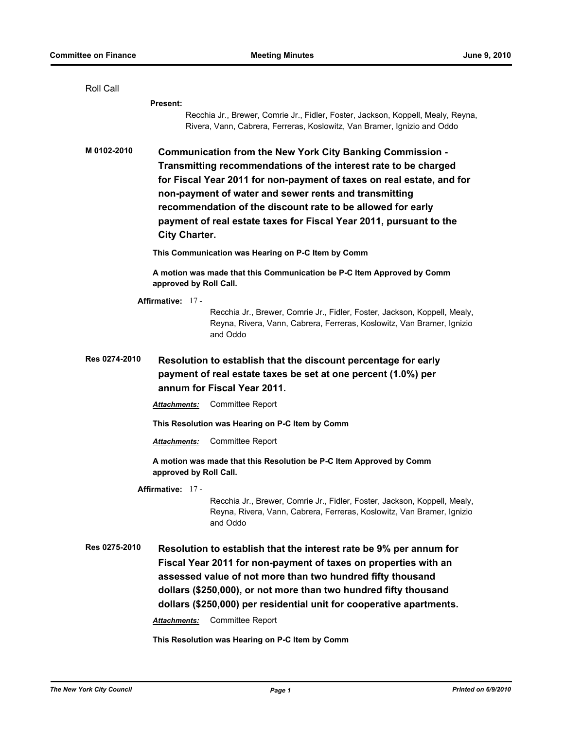| Roll Call                                                                                                                                                                                                                  |                                                                                                                                                                                                                                                                                                                                                                                                                             |                                                                                                                                                                 |
|----------------------------------------------------------------------------------------------------------------------------------------------------------------------------------------------------------------------------|-----------------------------------------------------------------------------------------------------------------------------------------------------------------------------------------------------------------------------------------------------------------------------------------------------------------------------------------------------------------------------------------------------------------------------|-----------------------------------------------------------------------------------------------------------------------------------------------------------------|
|                                                                                                                                                                                                                            | <b>Present:</b>                                                                                                                                                                                                                                                                                                                                                                                                             |                                                                                                                                                                 |
|                                                                                                                                                                                                                            |                                                                                                                                                                                                                                                                                                                                                                                                                             | Recchia Jr., Brewer, Comrie Jr., Fidler, Foster, Jackson, Koppell, Mealy, Reyna,<br>Rivera, Vann, Cabrera, Ferreras, Koslowitz, Van Bramer, Ignizio and Oddo    |
| M 0102-2010                                                                                                                                                                                                                | Communication from the New York City Banking Commission -<br>Transmitting recommendations of the interest rate to be charged<br>for Fiscal Year 2011 for non-payment of taxes on real estate, and for<br>non-payment of water and sewer rents and transmitting<br>recommendation of the discount rate to be allowed for early<br>payment of real estate taxes for Fiscal Year 2011, pursuant to the<br><b>City Charter.</b> |                                                                                                                                                                 |
| This Communication was Hearing on P-C Item by Comm                                                                                                                                                                         |                                                                                                                                                                                                                                                                                                                                                                                                                             |                                                                                                                                                                 |
| A motion was made that this Communication be P-C Item Approved by Comm<br>approved by Roll Call.                                                                                                                           |                                                                                                                                                                                                                                                                                                                                                                                                                             |                                                                                                                                                                 |
| Affirmative: 17 -                                                                                                                                                                                                          |                                                                                                                                                                                                                                                                                                                                                                                                                             |                                                                                                                                                                 |
|                                                                                                                                                                                                                            |                                                                                                                                                                                                                                                                                                                                                                                                                             | Recchia Jr., Brewer, Comrie Jr., Fidler, Foster, Jackson, Koppell, Mealy,<br>Reyna, Rivera, Vann, Cabrera, Ferreras, Koslowitz, Van Bramer, Ignizio<br>and Oddo |
| Res 0274-2010<br>Resolution to establish that the discount percentage for early<br>payment of real estate taxes be set at one percent (1.0%) per<br>annum for Fiscal Year 2011.<br>Committee Report<br><b>Attachments:</b> |                                                                                                                                                                                                                                                                                                                                                                                                                             |                                                                                                                                                                 |
|                                                                                                                                                                                                                            |                                                                                                                                                                                                                                                                                                                                                                                                                             |                                                                                                                                                                 |
|                                                                                                                                                                                                                            |                                                                                                                                                                                                                                                                                                                                                                                                                             | This Resolution was Hearing on P-C Item by Comm                                                                                                                 |
|                                                                                                                                                                                                                            | <b>Attachments:</b>                                                                                                                                                                                                                                                                                                                                                                                                         | <b>Committee Report</b>                                                                                                                                         |
| A motion was made that this Resolution be P-C Item Approved by Comm<br>approved by Roll Call.                                                                                                                              |                                                                                                                                                                                                                                                                                                                                                                                                                             |                                                                                                                                                                 |
|                                                                                                                                                                                                                            | Affirmative: 17 -                                                                                                                                                                                                                                                                                                                                                                                                           |                                                                                                                                                                 |
|                                                                                                                                                                                                                            |                                                                                                                                                                                                                                                                                                                                                                                                                             | Recchia Jr., Brewer, Comrie Jr., Fidler, Foster, Jackson, Koppell, Mealy,<br>Reyna, Rivera, Vann, Cabrera, Ferreras, Koslowitz, Van Bramer, Ignizio<br>and Oddo |
| Res 0275-2010                                                                                                                                                                                                              | Resolution to establish that the interest rate be 9% per annum for<br>Fiscal Year 2011 for non-payment of taxes on properties with an<br>assessed value of not more than two hundred fifty thousand<br>dollars (\$250,000), or not more than two hundred fifty thousand<br>dollars (\$250,000) per residential unit for cooperative apartments.<br>Committee Report<br>Attachments:                                         |                                                                                                                                                                 |
|                                                                                                                                                                                                                            |                                                                                                                                                                                                                                                                                                                                                                                                                             |                                                                                                                                                                 |
| This Resolution was Hearing on P-C Item by Comm                                                                                                                                                                            |                                                                                                                                                                                                                                                                                                                                                                                                                             |                                                                                                                                                                 |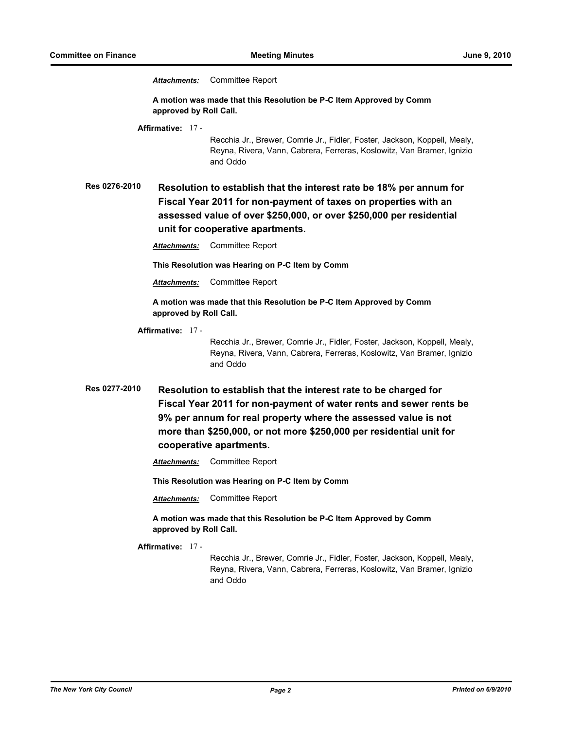*Attachments:* Committee Report

**A motion was made that this Resolution be P-C Item Approved by Comm approved by Roll Call.**

**Affirmative:** 17 -

Recchia Jr., Brewer, Comrie Jr., Fidler, Foster, Jackson, Koppell, Mealy, Reyna, Rivera, Vann, Cabrera, Ferreras, Koslowitz, Van Bramer, Ignizio and Oddo

**Res 0276-2010 Resolution to establish that the interest rate be 18% per annum for Fiscal Year 2011 for non-payment of taxes on properties with an assessed value of over \$250,000, or over \$250,000 per residential unit for cooperative apartments.**

*Attachments:* Committee Report

**This Resolution was Hearing on P-C Item by Comm**

*Attachments:* Committee Report

**A motion was made that this Resolution be P-C Item Approved by Comm approved by Roll Call.**

**Affirmative:** 17 -

Recchia Jr., Brewer, Comrie Jr., Fidler, Foster, Jackson, Koppell, Mealy, Reyna, Rivera, Vann, Cabrera, Ferreras, Koslowitz, Van Bramer, Ignizio and Oddo

- **Res 0277-2010 Resolution to establish that the interest rate to be charged for Fiscal Year 2011 for non-payment of water rents and sewer rents be 9% per annum for real property where the assessed value is not more than \$250,000, or not more \$250,000 per residential unit for cooperative apartments.**
	- *Attachments:* Committee Report

**This Resolution was Hearing on P-C Item by Comm**

*Attachments:* Committee Report

**A motion was made that this Resolution be P-C Item Approved by Comm approved by Roll Call.**

**Affirmative:** 17 -

Recchia Jr., Brewer, Comrie Jr., Fidler, Foster, Jackson, Koppell, Mealy, Reyna, Rivera, Vann, Cabrera, Ferreras, Koslowitz, Van Bramer, Ignizio and Oddo